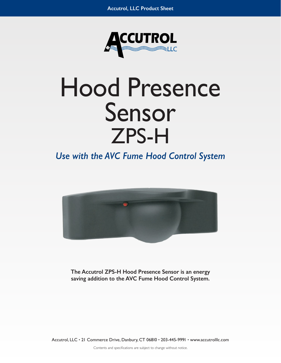

# Hood Presence Sensor ZPS-H

*Use with the AVC Fume Hood Control System*



**The Accutrol ZPS-H Hood Presence Sensor is an energy saving addition to the AVC Fume Hood Control System.**

Accutrol, LLC • 21 Commerce Drive, Danbury, CT 06810 • 203-445-9991 • www.accutrolllc.com

Contents and specifications are subject to change without notice.